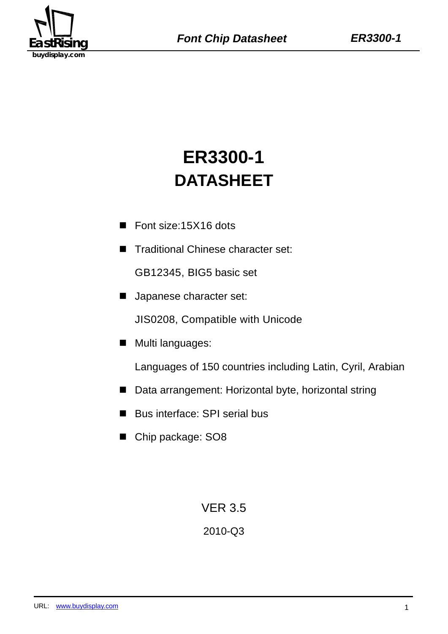

# **ER3300-1 DATASHEET**

- Font size:15X16 dots
- Traditional Chinese character set:

GB12345, BIG5 basic set

**Japanese character set:** 

JIS0208, Compatible with Unicode

**Multi languages:** 

Languages of 150 countries including Latin, Cyril, Arabian

- Data arrangement: Horizontal byte, horizontal string
- Bus interface: SPI serial bus
- Chip package: SO8

VER 3.5

# 2010-Q3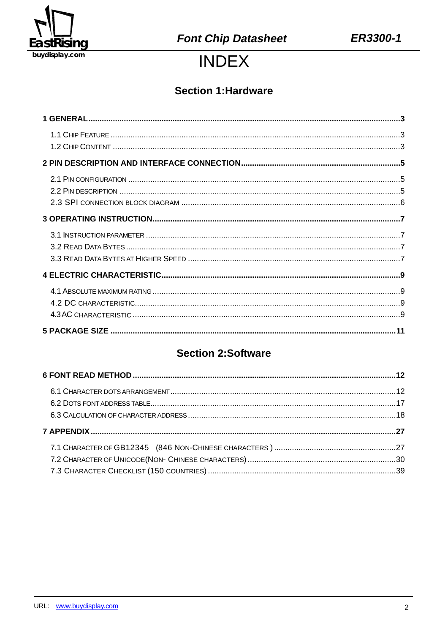

# **INDEX**

# **Section 1: Hardware**

# **Section 2:Software**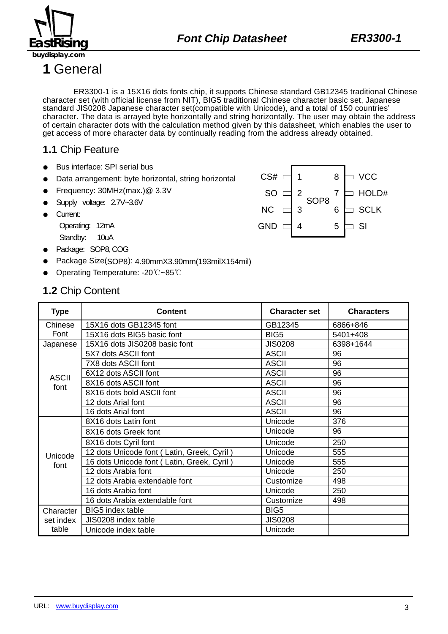

SOP8

8

**J** VCC

HOLD#

**SCLK** 

 $\Box$  SI

7

6

5

2

3

4

 $CS#$   $\Box$  1

SO D

NC

GND D

**1** General

ER3300-1 is a 15X16 dots fonts chip, it supports Chinese standard GB12345 traditional Chinese character set (with official license from NIT), BIG5 traditional Chinese character basic set, Japanese standard JIS0208 Japanese character set(compatible with Unicode), and a total of 150 countries' character. The data is arrayed byte horizontally and string horizontally. The user may obtain the address of certain character dots with the calculation method given by this datasheet, which enables the user to get access of more character data by continually reading from the address already obtained.

# **1.1** Chip Feature

- Bus interface: SPI serial bus
- Data arrangement: byte horizontal, string horizontal
- Frequency: 30MHz(max.)@ 3.3V
- Supply voltage: 2.7V~3.6V
- Current:

Operating: 12mA

- Standby: 10uA
- Package: SOP8, COG
- Package Size(SOP8): 4.90mmX3.90mm(193milX154mil)
- Operating Temperature: -20℃~85℃

### **1.2** Chip Content

| <b>Type</b>  | Content                                    | <b>Character set</b> | <b>Characters</b> |
|--------------|--------------------------------------------|----------------------|-------------------|
| Chinese      | 15X16 dots GB12345 font                    | GB12345              | 6866+846          |
| Font         | 15X16 dots BIG5 basic font                 | BIG <sub>5</sub>     | 5401+408          |
| Japanese     | 15X16 dots JIS0208 basic font              | <b>JIS0208</b>       | 6398+1644         |
|              | 5X7 dots ASCII font                        | <b>ASCII</b>         | 96                |
|              | 7X8 dots ASCII font                        | <b>ASCII</b>         | 96                |
| <b>ASCII</b> | 6X12 dots ASCII font                       | <b>ASCII</b>         | 96                |
| font         | 8X16 dots ASCII font                       | <b>ASCII</b>         | 96                |
|              | 8X16 dots bold ASCII font                  | <b>ASCII</b>         | 96                |
|              | 12 dots Arial font                         | <b>ASCII</b>         | 96                |
|              | 16 dots Arial font                         | <b>ASCII</b>         | 96                |
|              | 8X16 dots Latin font                       | Unicode              | 376               |
|              | 8X16 dots Greek font                       | Unicode              | 96                |
|              | 8X16 dots Cyril font                       | Unicode              | 250               |
| Unicode      | 12 dots Unicode font (Latin, Greek, Cyril) | Unicode              | 555               |
| font         | 16 dots Unicode font (Latin, Greek, Cyril) | Unicode              | 555               |
|              | 12 dots Arabia font                        | Unicode              | 250               |
|              | 12 dots Arabia extendable font             | Customize            | 498               |
|              | 16 dots Arabia font                        | Unicode              | 250               |
|              | 16 dots Arabia extendable font             | Customize            | 498               |
| Character    | <b>BIG5</b> index table                    | BIG <sub>5</sub>     |                   |
| set index    | JIS0208 index table                        | <b>JIS0208</b>       |                   |
| table        | Unicode index table                        | Unicode              |                   |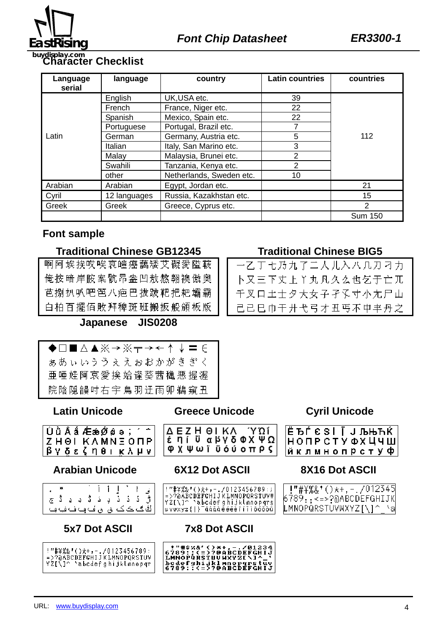

# **Character Checklist buydisplay.com**

| Language<br>serial | language      | country                  | <b>Latin countries</b> | countries      |
|--------------------|---------------|--------------------------|------------------------|----------------|
|                    | English       | UK, USA etc.             | 39                     |                |
|                    | <b>French</b> | France, Niger etc.       | 22                     |                |
|                    | Spanish       | Mexico, Spain etc.       | 22                     |                |
|                    | Portuguese    | Portugal, Brazil etc.    | 7                      |                |
| Latin              | German        | Germany, Austria etc.    | 5                      | 112            |
|                    | Italian       | Italy, San Marino etc.   | 3                      |                |
|                    | Malay         | Malaysia, Brunei etc.    | 2                      |                |
|                    | Swahili       | Tanzania, Kenya etc.     | 2                      |                |
|                    | other         | Netherlands, Sweden etc. | 10                     |                |
| Arabian            | Arabian       | Egypt, Jordan etc.       |                        | 21             |
| Cyril              | 12 languages  | Russia, Kazakhstan etc.  |                        | 15             |
| Greek              | Greek         | Greece, Cyprus etc.      |                        | $\mathcal{P}$  |
|                    |               |                          |                        | <b>Sum 150</b> |

### **Font sample**

#### **Traditional Chinese GB12345 Traditional Chinese BIG5**

|  |  |  |  |  |  |  | 啊阿埃挨哎唉哀皚癌藹矮艾礙愛隘鞍               |  |
|--|--|--|--|--|--|--|--------------------------------|--|
|  |  |  |  |  |  |  | 俺按暗岸胺案骯昂盎凹敖熬翱襖傲奥               |  |
|  |  |  |  |  |  |  | 芭捌扒叭吧笆八疤巴拔跋靶把耙壩霸               |  |
|  |  |  |  |  |  |  | 白柏 百 擺 佰 敗 拜 稗 斑 班 搬 扳 般 頒 板 版 |  |

### **Japanese JIS0208**

| ◆□■△▲※→※〒→←↑↓〓∈               |  |
|-------------------------------|--|
| ああぃいううぇえおおかがきぎく               |  |
| 亜 唾 娃 阿 哀 愛 挨 姶 逢 葵 茜 穐 悪 握 渥 |  |
| 院陰隠韻吋右宇鳥羽迂雨卯鵜窺丑               |  |

### **Latin Unicode Greece Unicode Cyril Unicode**

| ZHOI KAMNEONP |  |  |
|---------------|--|--|
| βνδεζηθικλμνί |  |  |

# **Arabian Unicode 6X12 Dot ASCII 8X16 Dot ASCII**

| نِ ا ` اِ اَ اَ `<br>رَّ دَ دَ دِ دَ بَّ دِ دِ ثَّ ج<br>ڭگڪڪن ق ق ُف و شاه شاه و ب |  |  |  |  |  |
|------------------------------------------------------------------------------------|--|--|--|--|--|

# **5x7 Dot ASCII 7x8 Dot ASCII**

:<mark>"#</mark>\%&'()\*+,-./0123456789:<br>=>?@ABCDEFGHIJKLMNOPQRSTUV Y2[\]^ 'abcdefghijklmnopqr

 $\overline{\phantom{a}}$ 

ΔΕΖΗΘΙΚΑ ΎΩΙ<br>έηι ΰαβγδΦΧΨΩ **ΦΧΨωϊϋόύοπρς** 

!"#¥%&'()\*+,-./0123456789:;<br>=>?@ABCDEFGHIJKLMNOPQRSTUVW<br>YZ[\]^`abcdefghijklmnopqrs<br>uvwxyz{|}~āáǎàēéěèīíĭìōóŏòū



-乙丁七乃九了二人儿入八几刀刁力 卜又三下丈上丫丸凡久么也乞于亡兀 千叉口土士夕大女子孑孓寸小尢尸山 己己巳巾干廾弋弓才丑丐不中丰丹之

|  |  |  |  |  | ЁЪЃ Є Ѕ І Ї Ј ЉЊЋЌ<br>НОПРСТУ ФХ ЦЧ Ш |
|--|--|--|--|--|---------------------------------------|
|  |  |  |  |  |                                       |
|  |  |  |  |  | йклмнопрстуф                          |

| !"#\%&'()*+,-./012345                  |
|----------------------------------------|
| 6789 <sub>::≺=&gt;?</sub> @ABCDEFGHIJK |
| LMNOPQRSTUVWXYZ[\]^_`a                 |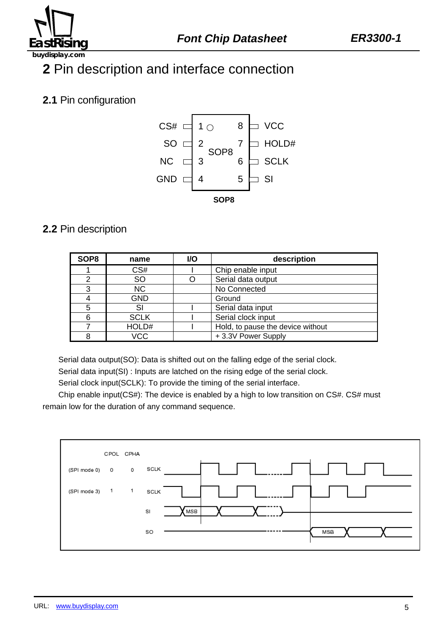

# **2** Pin description and interface connection

# **2.1** Pin configuration



## **2.2** Pin description

| SOP <sub>8</sub> | name        | <b>I/O</b> | description                       |  |  |  |  |
|------------------|-------------|------------|-----------------------------------|--|--|--|--|
|                  | CS#         |            | Chip enable input                 |  |  |  |  |
| っ                | <b>SO</b>   |            | Serial data output                |  |  |  |  |
| 3                | NC.         |            | No Connected                      |  |  |  |  |
| 4                | <b>GND</b>  |            | Ground                            |  |  |  |  |
| 5                | SI          |            | Serial data input                 |  |  |  |  |
| 6                | <b>SCLK</b> |            | Serial clock input                |  |  |  |  |
|                  | HOLD#       |            | Hold, to pause the device without |  |  |  |  |
| 8                | VCC         |            | +3.3V Power Supply                |  |  |  |  |

Serial data output(SO): Data is shifted out on the falling edge of the serial clock.

Serial data input(SI) : Inputs are latched on the rising edge of the serial clock.

Serial clock input(SCLK): To provide the timing of the serial interface.

Chip enable input(CS#): The device is enabled by a high to low transition on CS#. CS# must remain low for the duration of any command sequence.

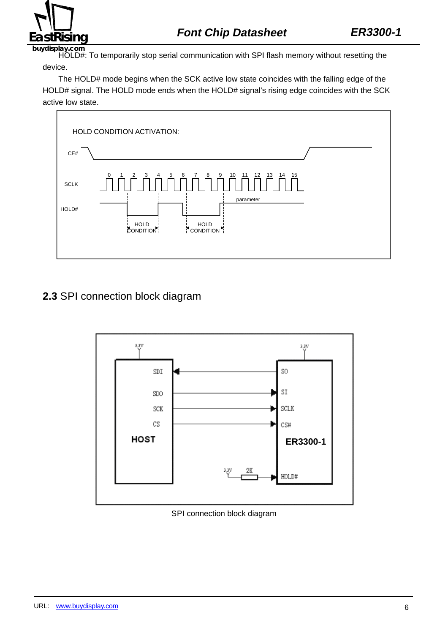

HOLD#: To temporarily stop serial communication with SPI flash memory without resetting the device.

The HOLD# mode begins when the SCK active low state coincides with the falling edge of the HOLD# signal. The HOLD mode ends when the HOLD# signal's rising edge coincides with the SCK active low state.



# **2.3** SPI connection block diagram



SPI connection block diagram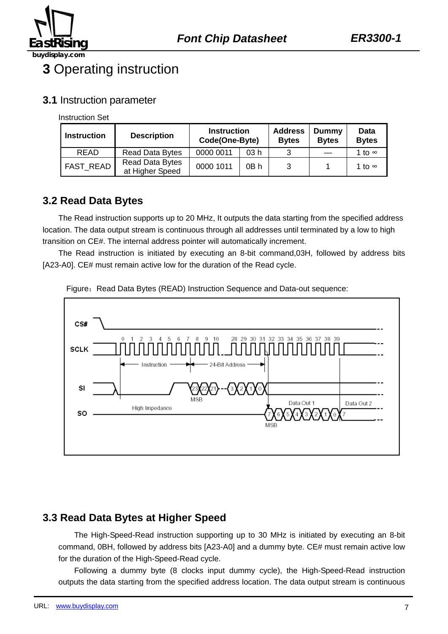

# **3** Operating instruction

### **3.1** Instruction parameter

Instruction Set

| <b>Instruction</b> | <b>Description</b>                 | <b>Instruction</b><br>Code(One-Byte) |      | <b>Address</b><br><b>Bytes</b> | Dummy<br><b>Bytes</b> | Data<br><b>Bytes</b> |
|--------------------|------------------------------------|--------------------------------------|------|--------------------------------|-----------------------|----------------------|
| <b>READ</b>        | <b>Read Data Bytes</b>             | 0000 0011                            | 03h  | ີ                              |                       | 1 to ∞               |
| <b>FAST READ</b>   | Read Data Bytes<br>at Higher Speed | 0000 1011                            | 0B h | 3                              |                       | 1 to ∞               |

## **3.2 Read Data Bytes**

The Read instruction supports up to 20 MHz, It outputs the data starting from the specified address location. The data output stream is continuous through all addresses until terminated by a low to high transition on CE#. The internal address pointer will automatically increment.

The Read instruction is initiated by executing an 8-bit command,03H, followed by address bits [A23-A0]. CE# must remain active low for the duration of the Read cycle.



Figure: Read Data Bytes (READ) Instruction Sequence and Data-out sequence:

# **3.3 Read Data Bytes at Higher Speed**

The High-Speed-Read instruction supporting up to 30 MHz is initiated by executing an 8-bit command, 0BH, followed by address bits [A23-A0] and a dummy byte. CE# must remain active low for the duration of the High-Speed-Read cycle.

Following a dummy byte (8 clocks input dummy cycle), the High-Speed-Read instruction outputs the data starting from the specified address location. The data output stream is continuous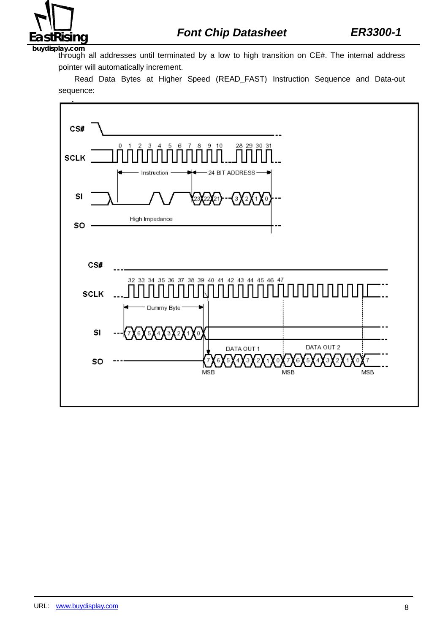

through all addresses until terminated by a low to high transition on CE#. The internal address pointer will automatically increment.

Read Data Bytes at Higher Speed (READ\_FAST) Instruction Sequence and Data-out sequence:

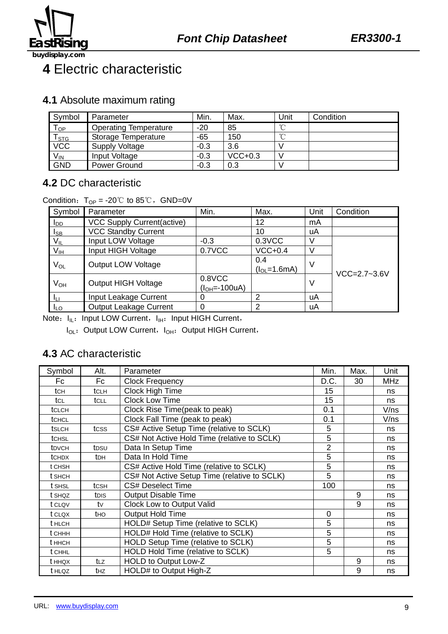

# **4** Electric characteristic

### **4.1** Absolute maximum rating

| Symbol                | Parameter                    | Min.   | Max.      | Unit   | Condition |
|-----------------------|------------------------------|--------|-----------|--------|-----------|
| $T_{OP}$              | <b>Operating Temperature</b> | $-20$  | 85        | $\sim$ |           |
| $\frac{T_{STG}}{VCC}$ | Storage Temperature          | -65    | 150       | $\sim$ |           |
|                       | <b>Supply Voltage</b>        | $-0.3$ | 3.6       |        |           |
| $V_{IN}$              | Input Voltage                | $-0.3$ | $VCC+0.3$ |        |           |
| <b>GND</b>            | Power Ground                 | $-0.3$ | 0.3       |        |           |

## **4.2** DC characteristic

#### Condition:  $T_{OP} = -20^{\circ}C$  to 85°C, GND=0V

| Symbol                 | Parameter                         | Min.                        | Max.                      | Unit | Condition          |
|------------------------|-----------------------------------|-----------------------------|---------------------------|------|--------------------|
| <b>I</b> <sub>DD</sub> | <b>VCC Supply Current(active)</b> |                             | 12                        | mA   |                    |
| $I_{SB}$               | <b>VCC Standby Current</b>        |                             | 10                        | uA   |                    |
| $V_{\parallel}$        | Input LOW Voltage                 | $-0.3$                      | 0.3VCC                    |      |                    |
| V <sub>IH</sub>        | Input HIGH Voltage                | 0.7VCC                      | $VCC+0.4$                 |      |                    |
| $V_{OL}$               | <b>Output LOW Voltage</b>         |                             | 0.4<br>$(l_{OL} = 1.6mA)$ | -V   |                    |
| $V_{OH}$               | <b>Output HIGH Voltage</b>        | $0.8$ VCC<br>$(IOH=-100uA)$ |                           | V    | $VCC = 2.7 - 3.6V$ |
| Īц                     | Input Leakage Current             |                             | 2                         | uA   |                    |
| <b>ILO</b>             | <b>Output Leakage Current</b>     | $\Omega$                    | 2                         | uA   |                    |

Note: I<sub>IL</sub>: Input LOW Current, I<sub>IH</sub>: Input HIGH Current,

I<sub>OL</sub>: Output LOW Current, I<sub>OH</sub>: Output HIGH Current,

## **4.3** AC characteristic

| Symbol            | Alt.             | Parameter                                    | Min.           | Max. | Unit       |
|-------------------|------------------|----------------------------------------------|----------------|------|------------|
| Fc                | Fc               | <b>Clock Frequency</b>                       | D.C.           | 30   | <b>MHz</b> |
| tch               | tclh             | Clock High Time                              | 15             |      | ns         |
| tcL               | tcll             | Clock Low Time                               | 15             |      | ns         |
| tclch             |                  | Clock Rise Time(peak to peak)                | 0.1            |      | V/ns       |
| tCHCL             |                  | Clock Fall Time (peak to peak)               | 0.1            |      | V/ns       |
| <b>t</b> SLCH     | tcss             | CS# Active Setup Time (relative to SCLK)     | 5              |      | ns         |
| tCHSL             |                  | CS# Not Active Hold Time (relative to SCLK)  | 5              |      | ns         |
| t <sub>DVCH</sub> | tpsu             | Data In Setup Time                           | $\overline{2}$ |      | ns         |
| <b>t</b> CHDX     | t <sub>DH</sub>  | Data In Hold Time                            | $\overline{5}$ |      | ns         |
| t CHSH            |                  | CS# Active Hold Time (relative to SCLK)      | 5              |      | ns         |
| t SHCH            |                  | CS# Not Active Setup Time (relative to SCLK) | 5              |      | ns         |
| t SHSL            | tcs <sub>H</sub> | CS# Deselect Time                            | 100            |      | ns         |
| t SHQZ            | t <sub>Dis</sub> | <b>Output Disable Time</b>                   |                | 9    | ns         |
| t CLQV            | tv               | <b>Clock Low to Output Valid</b>             |                | 9    | ns         |
| t CLQX            | <b>t</b> HO      | <b>Output Hold Time</b>                      | 0              |      | ns         |
| <b>t</b> HLCH     |                  | HOLD# Setup Time (relative to SCLK)          | 5              |      | ns         |
| t CHHH            |                  | HOLD# Hold Time (relative to SCLK)           | 5              |      | ns         |
| t HHCH            |                  | HOLD Setup Time (relative to SCLK)           | 5              |      | ns         |
| t CHHL            |                  | HOLD Hold Time (relative to SCLK)            | 5              |      | ns         |
| t HHQX            | tLZ              | HOLD to Output Low-Z                         |                | 9    | ns         |
| t HLQZ            | t <sub>Hz</sub>  | HOLD# to Output High-Z                       |                | 9    | ns         |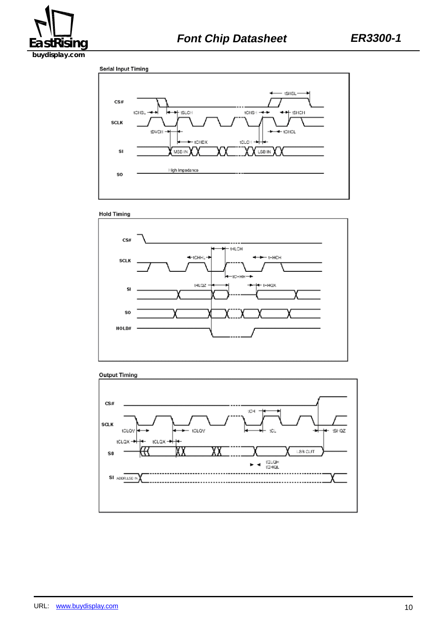

Serial Input Timing









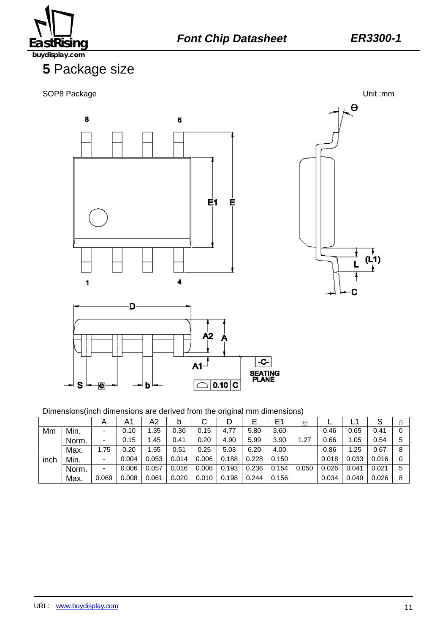

# **5** Package size







Dimensions(inch dimensions are derived from the original mm dimensions)

|      |       | Α     | A1    | A2    | b     | U     |       | E     | E1    | 同     |       |       |       | A |
|------|-------|-------|-------|-------|-------|-------|-------|-------|-------|-------|-------|-------|-------|---|
| Mm   | Min.  |       | 0.10  | .35   | 0.36  | 0.15  | 4.77  | 5.80  | 3.60  |       | 0.46  | 0.65  | 0.41  |   |
|      | Norm. |       | 0.15  | .45   | 0.41  | 0.20  | 4.90  | 5.99  | 3.90  | .27   | 0.66  | 1.05  | 0.54  | 5 |
|      | Max.  | 1.75  | 0.20  | .55   | 0.51  | 0.25  | 5.03  | 6.20  | 4.00  |       | 0.86  | 1.25  | 0.67  | 8 |
| inch | Min.  |       | 0.004 | 0.053 | 0.014 | 0.006 | 0.188 | 0.228 | 0.150 |       | 0.018 | 0.033 | 0.016 |   |
|      | Norm. |       | 0.006 | 0.057 | 0.016 | 0.008 | 0.193 | 0.236 | 0.154 | 0.050 | 0.026 | 0.041 | 0.021 |   |
|      | Max.  | 0.069 | 0.008 | 0.061 | 0.020 | 0.010 | 0.198 | 0.244 | 0.156 |       | 0.034 | 0.049 | 0.026 | 8 |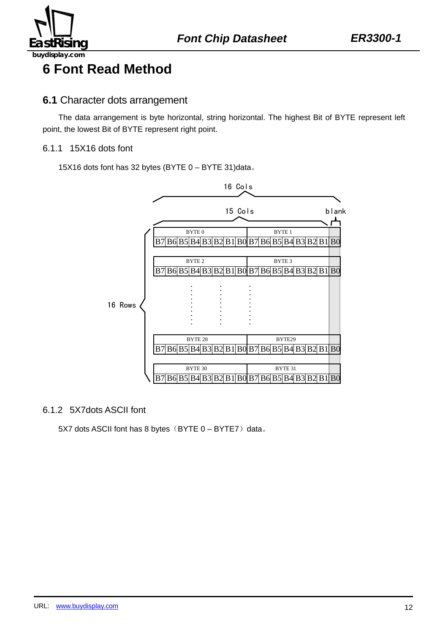

# **6 Font Read Method**

### **6.1** Character dots arrangement

The data arrangement is byte horizontal, string horizontal. The highest Bit of BYTE represent left point, the lowest Bit of BYTE represent right point.

#### 6.1.1 15X16 dots font

15X16 dots font has 32 bytes (BYTE 0 – BYTE 31)data。



#### 6.1.2 5X7dots ASCII font

5X7 dots ASCII font has 8 bytes (BYTE  $0 - BYTE7$ ) data.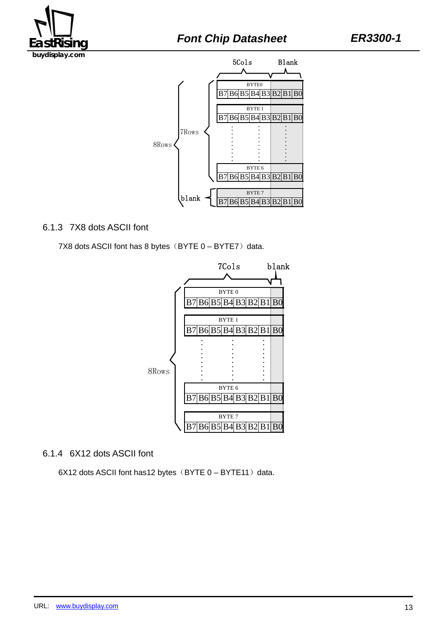



#### 6.1.3 7X8 dots ASCII font

7X8 dots ASCII font has 8 bytes  $(BYTE 0 - BYTE7)$  data.



#### 6.1.4 6X12 dots ASCII font

 $6X12$  dots ASCII font has12 bytes (BYTE  $0 - BYTE11$ ) data.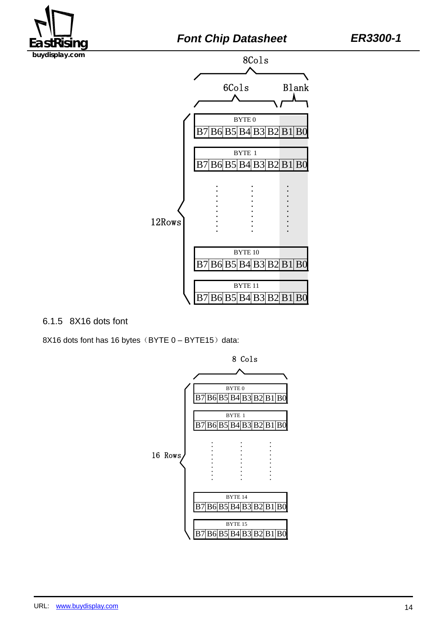



#### 6.1.5 8X16 dots font

8X16 dots font has 16 bytes (BYTE  $0 - BYTE15$ ) data:

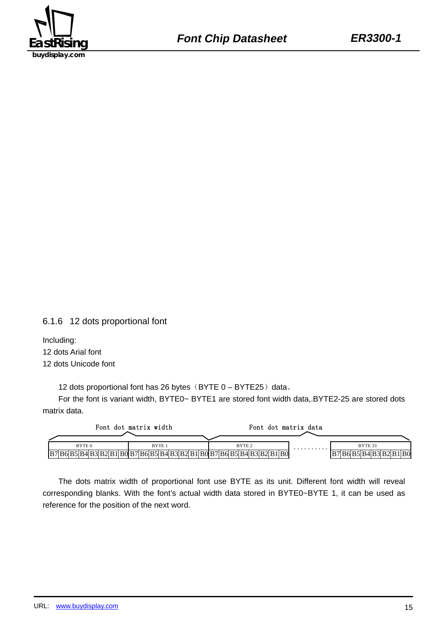

6.1.6 12 dots proportional font

Including: 12 dots Arial font 12 dots Unicode font

12 dots proportional font has 26 bytes  $(BYTE 0 - BYTE25)$  data.

For the font is variant width, BYTE0~ BYTE1 are stored font width data,.BYTE2-25 are stored dots matrix data.

|                   | Font dot matrix width                                                                           | Font dot matrix data |   |                             |
|-------------------|-------------------------------------------------------------------------------------------------|----------------------|---|-----------------------------|
| BYTE <sub>0</sub> | BYTE <sub>1</sub>                                                                               | BYTE <sub>2</sub>    | . | BYTE 33                     |
|                   | [B7  B6  B5  B4  B3  B2  B1  B0  B7  B6  B5  B4  B3  B2  B1  B0  B7  B6  B5  B4  B3  B2  B1  B0 |                      |   | BOI.<br> B6  B5  B4  B3  B2 |

The dots matrix width of proportional font use BYTE as its unit. Different font width will reveal corresponding blanks. With the font's actual width data stored in BYTE0~BYTE 1, it can be used as reference for the position of the next word.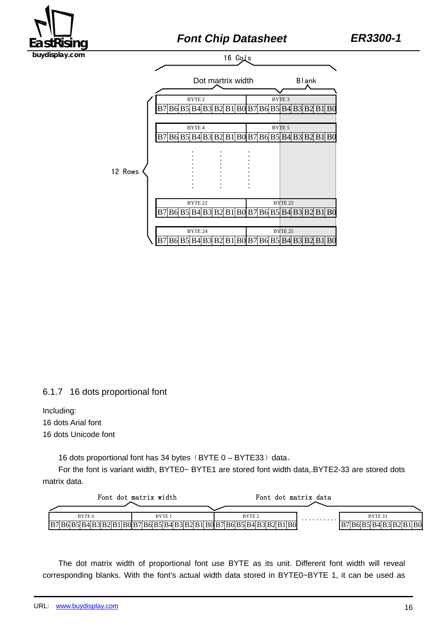

6.1.7 16 dots proportional font

Including: 16 dots Arial font 16 dots Unicode font

16 dots proportional font has 34 bytes  $(BYTE 0 - BYTE33)$  data.

For the font is variant width, BYTE0~ BYTE1 are stored font width data,.BYTE2-33 are stored dots matrix data.



The dot matrix width of proportional font use BYTE as its unit. Different font width will reveal corresponding blanks. With the font's actual width data stored in BYTE0~BYTE 1, it can be used as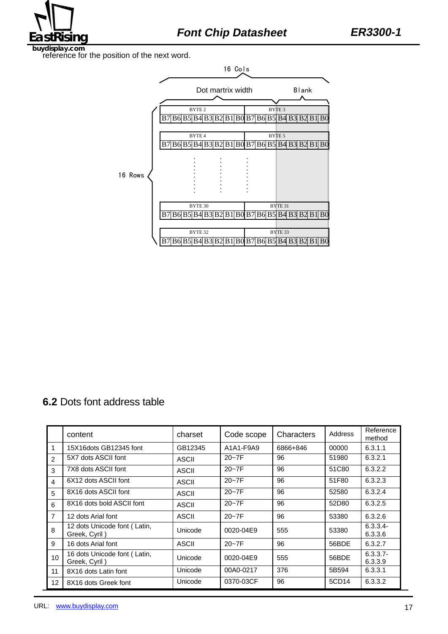

reference for the position of the next word.



# **6.2** Dots font address table

|                | content                                       | charset      | Code scope | Characters | Address | Reference<br>method    |
|----------------|-----------------------------------------------|--------------|------------|------------|---------|------------------------|
| 1              | 15X16dots GB12345 font                        | GB12345      | A1A1-F9A9  | 6866+846   | 00000   | 6.3.1.1                |
| 2              | 5X7 dots ASCII font                           | ASCII        | $20 - 7F$  | 96         | 51980   | 6.3.2.1                |
| 3              | 7X8 dots ASCII font                           | ASCII        | $20 - 7F$  | 96         | 51C80   | 6.3.2.2                |
| $\overline{4}$ | 6X12 dots ASCII font                          | ASCII        | $20 - 7F$  | 96         | 51F80   | 6.3.2.3                |
| 5              | 8X16 dots ASCII font                          | <b>ASCII</b> | $20 - 7F$  | 96         | 52580   | 6.3.2.4                |
| 6              | 8X16 dots bold ASCII font                     | <b>ASCII</b> | $20 - 7F$  | 96         | 52D80   | 6.3.2.5                |
| $\overline{7}$ | 12 dots Arial font                            | <b>ASCII</b> | $20 - 7F$  | 96         | 53380   | 6.3.2.6                |
| 8              | 12 dots Unicode font (Latin,<br>Greek, Cyril) | Unicode      | 0020-04E9  | 555        | 53380   | $6.3.3.4-$<br>6.3.3.6  |
| 9              | 16 dots Arial font                            | ASCII        | $20 - 7F$  | 96         | 56BDE   | 6.3.2.7                |
| 10             | 16 dots Unicode font (Latin,<br>Greek, Cyril) | Unicode      | 0020-04E9  | 555        | 56BDE   | $6.3.3.7 -$<br>6.3.3.9 |
| 11             | 8X16 dots Latin font                          | Unicode      | 00A0-0217  | 376        | 5B594   | 6.3.3.1                |
| 12             | 8X16 dots Greek font                          | Unicode      | 0370-03CF  | 96         | 5CD14   | 6.3.3.2                |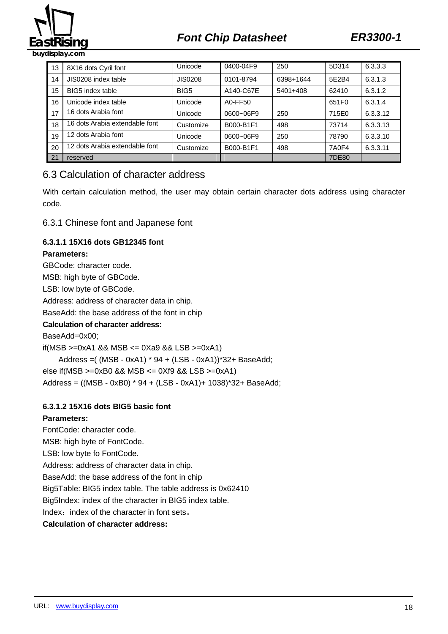

# **EastRising Font Chip Datasheet ER3300-1**

13 8X16 dots Cyril font | Unicode | 0400-04F9 | 250 | 5D314 | 6.3.3.3 14 JIS0208 index table JIS0208 0101-8794 6398+1644 5E2B4 6.3.1.3 15 BIG5 index table BIG5 A140-C67E 5401+408 62410 6.3.1.2 16 Unicode index table  $\vert$  Unicode  $\vert$  A0-FF50  $\vert$  651F0 6.3.1.4 17 16 dots Arabia font Unicode 0600~06F9 250 715E0 6.3.3.12 18 16 dots Arabia extendable font Customize B000-B1F1 498 73714 6.3.3.13 19 12 dots Arabia font <br>
Unicode 0600~06F9 250 78790 6.3.3.10 20 12 dots Arabia extendable font Customize B000-B1F1 498 7A0F4 6.3.3.11 21 reserved 7DE80

### 6.3 Calculation of character address

With certain calculation method, the user may obtain certain character dots address using character code.

6.3.1 Chinese font and Japanese font

#### **6.3.1.1 15X16 dots GB12345 font**

#### **Parameters:**

GBCode: character code. MSB: high byte of GBCode. LSB: low byte of GBCode. Address: address of character data in chip. BaseAdd: the base address of the font in chip **Calculation of character address:**  BaseAdd=0x00; if(MSB  $>=0xA1$  && MSB  $<=0xA9$  && LSB  $>=0xA1$ ) Address =( (MSB - 0xA1) \* 94 + (LSB - 0xA1))\*32+ BaseAdd; else if(MSB >=0xB0 && MSB <= 0Xf9 && LSB >=0xA1)

# Address = ((MSB - 0xB0) \* 94 + (LSB - 0xA1)+ 1038)\*32+ BaseAdd;

#### **6.3.1.2 15X16 dots BIG5 basic font**

#### **Parameters:**

FontCode: character code. MSB: high byte of FontCode. LSB: low byte fo FontCode. Address: address of character data in chip. BaseAdd: the base address of the font in chip Big5Table: BIG5 index table. The table address is 0x62410 Big5Index: index of the character in BIG5 index table. Index: index of the character in font sets. **Calculation of character address:**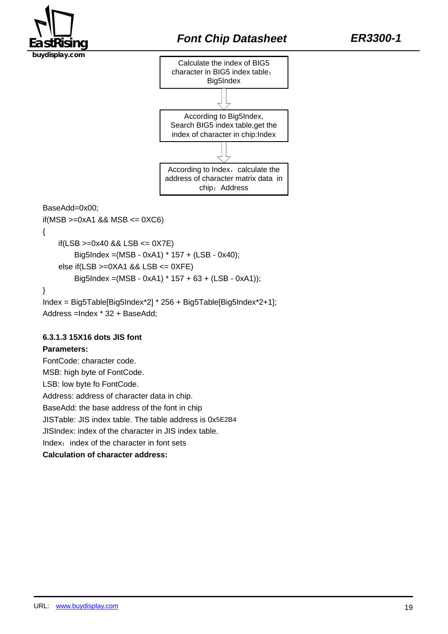



BaseAdd=0x00;

 $if(MSB >=0 \times A1 \& MSB <= 0 \times C6)$ {  $if(LSB >=0x40 & 8 & 1SB <= 0X7E)$ Big5Index =(MSB - 0xA1) \* 157 + (LSB - 0x40); else if(LSB >=0XA1 && LSB <= 0XFE) Big5Index =(MSB - 0xA1) \* 157 + 63 + (LSB - 0xA1)); } Index = Big5Table[Big5Index\*2] \* 256 + Big5Table[Big5Index\*2+1];

Address =Index \* 32 + BaseAdd;

#### **6.3.1.3 15X16 dots JIS font**

#### **Parameters:**

FontCode: character code. MSB: high byte of FontCode. LSB: low byte fo FontCode. Address: address of character data in chip. BaseAdd: the base address of the font in chip JISTable: JIS index table. The table address is 0x5E2B4 JISIndex: index of the character in JIS index table. Index: index of the character in font sets **Calculation of character address:**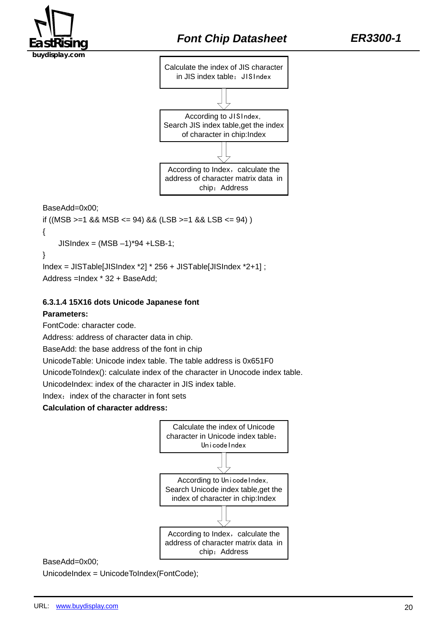



BaseAdd=0x00;

```
if ((MSB >= 1 && MSB <= 94) && (LSB >= 1 && LSB <= 94))
{ 
    JISIndex = (MSB - 1)*94 + LSB-1;} 
Index = JISTable[JISIndex *2] * 256 + JISTable[JISIndex *2+1] ;
```
Address =Index \* 32 + BaseAdd;

#### **6.3.1.4 15X16 dots Unicode Japanese font**

#### **Parameters:**

FontCode: character code.

Address: address of character data in chip.

BaseAdd: the base address of the font in chip

UnicodeTable: Unicode index table. The table address is 0x651F0

UnicodeToIndex(): calculate index of the character in Unocode index table.

UnicodeIndex: index of the character in JIS index table.

Index: index of the character in font sets

**Calculation of character address:** 



#### BaseAdd=0x00;

UnicodeIndex = UnicodeToIndex(FontCode);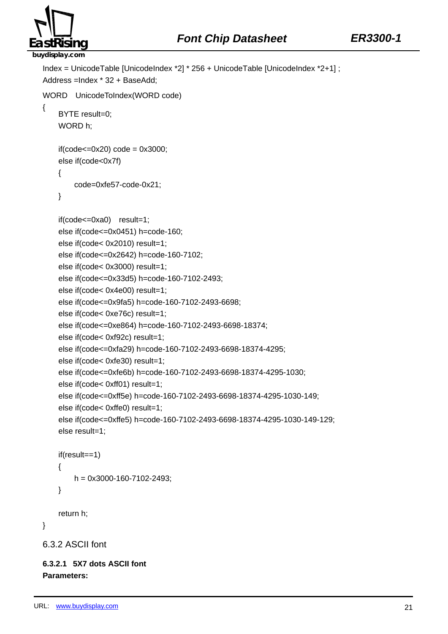

```
Index = UnicodeTable [UnicodeIndex *2] * 256 + UnicodeTable [UnicodeIndex *2+1] ; 
Address =Index * 32 + BaseAdd; 
WORD UnicodeToIndex(WORD code) 
{ 
     BYTE result=0; 
     WORD h; 
    if(code<=0x20)code = 0x3000; else if(code<0x7f) 
     { 
          code=0xfe57-code-0x21; 
     } 
     if(code<=0xa0) result=1; 
     else if(code<=0x0451) h=code-160; 
     else if(code< 0x2010) result=1; 
     else if(code<=0x2642) h=code-160-7102; 
     else if(code< 0x3000) result=1; 
     else if(code<=0x33d5) h=code-160-7102-2493; 
     else if(code< 0x4e00) result=1; 
     else if(code<=0x9fa5) h=code-160-7102-2493-6698; 
     else if(code< 0xe76c) result=1; 
     else if(code<=0xe864) h=code-160-7102-2493-6698-18374; 
     else if(code< 0xf92c) result=1; 
     else if(code<=0xfa29) h=code-160-7102-2493-6698-18374-4295; 
     else if(code< 0xfe30) result=1; 
     else if(code<=0xfe6b) h=code-160-7102-2493-6698-18374-4295-1030; 
     else if(code< 0xff01) result=1; 
     else if(code<=0xff5e) h=code-160-7102-2493-6698-18374-4295-1030-149; 
     else if(code< 0xffe0) result=1; 
     else if(code<=0xffe5) h=code-160-7102-2493-6698-18374-4295-1030-149-129; 
     else result=1; 
     if(result==1) 
     { 
         h = 0x3000 - 160 - 7102 - 2493;
     } 
     return h; 
} 
6.3.2 ASCII font
```
**6.3.2.1 5X7 dots ASCII font Parameters:**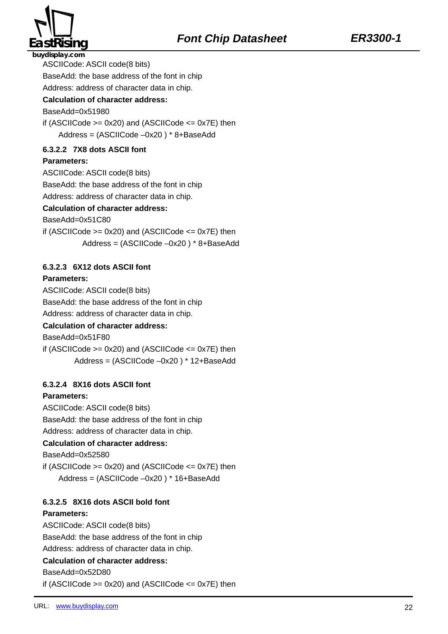

ASCIICode: ASCII code(8 bits)

BaseAdd: the base address of the font in chip

Address: address of character data in chip.

#### **Calculation of character address:**

BaseAdd=0x51980

if (ASCIICode  $>= 0x20$ ) and (ASCIICode  $<= 0x7E$ ) then Address = (ASCIICode –0x20 ) \* 8+BaseAdd

#### **6.3.2.2 7X8 dots ASCII font**

#### **Parameters:**

ASCIICode: ASCII code(8 bits)

BaseAdd: the base address of the font in chip

Address: address of character data in chip.

#### **Calculation of character address:**

BaseAdd=0x51C80

if (ASCIICode  $>= 0x20$ ) and (ASCIICode  $<= 0x7E$ ) then

Address = (ASCIICode –0x20 ) \* 8+BaseAdd

#### **6.3.2.3 6X12 dots ASCII font**

#### **Parameters:**

ASCIICode: ASCII code(8 bits)

BaseAdd: the base address of the font in chip

Address: address of character data in chip.

#### **Calculation of character address:**

BaseAdd=0x51F80

if (ASCIICode  $>= 0x20$ ) and (ASCIICode  $<= 0x7E$ ) then Address = (ASCIICode –0x20 ) \* 12+BaseAdd

#### **6.3.2.4 8X16 dots ASCII font**

#### **Parameters:**

ASCIICode: ASCII code(8 bits)

BaseAdd: the base address of the font in chip

Address: address of character data in chip.

#### **Calculation of character address:**

BaseAdd=0x52580

if (ASCIICode  $>= 0x20$ ) and (ASCIICode  $<= 0x7E$ ) then

Address = (ASCIICode –0x20 ) \* 16+BaseAdd

#### **6.3.2.5 8X16 dots ASCII bold font**

#### **Parameters:**

ASCIICode: ASCII code(8 bits)

BaseAdd: the base address of the font in chip

Address: address of character data in chip.

#### **Calculation of character address:**

BaseAdd=0x52D80

if (ASCIICode  $>= 0x20$ ) and (ASCIICode  $<= 0x7E$ ) then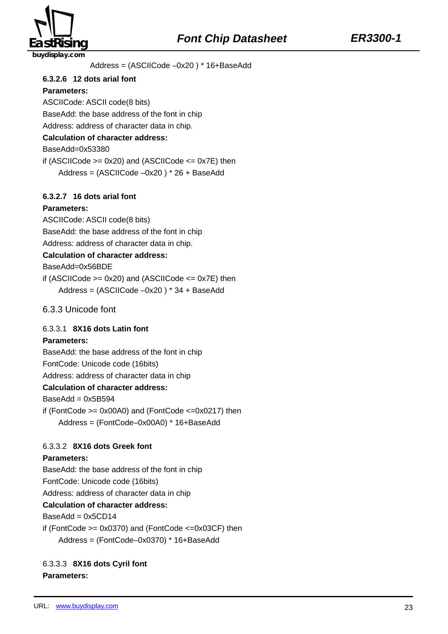



Address = (ASCIICode –0x20 ) \* 16+BaseAdd

#### **6.3.2.6 12 dots arial font**

#### **Parameters:**

ASCIICode: ASCII code(8 bits) BaseAdd: the base address of the font in chip

Address: address of character data in chip.

#### **Calculation of character address:**

BaseAdd=0x53380

if (ASCIICode  $>= 0x20$ ) and (ASCIICode  $<= 0x7E$ ) then Address = (ASCIICode –0x20 ) \* 26 + BaseAdd

#### **6.3.2.7 16 dots arial font**

#### **Parameters:**

ASCIICode: ASCII code(8 bits) BaseAdd: the base address of the font in chip

Address: address of character data in chip.

#### **Calculation of character address:**

BaseAdd=0x56BDE

if (ASCIICode  $>= 0x20$ ) and (ASCIICode  $<= 0x7E$ ) then Address = (ASCIICode –0x20 ) \* 34 + BaseAdd

6.3.3 Unicode font

#### 6.3.3.1 **8X16 dots Latin font**

#### **Parameters:**

BaseAdd: the base address of the font in chip

FontCode: Unicode code (16bits)

Address: address of character data in chip

#### **Calculation of character address:**

 $BaseAdd = 0x5B594$ 

if (FontCode  $>= 0x00A0$ ) and (FontCode  $<= 0x0217$ ) then Address = (FontCode–0x00A0) \* 16+BaseAdd

#### 6.3.3.2 **8X16 dots Greek font**

#### **Parameters:**

BaseAdd: the base address of the font in chip

FontCode: Unicode code (16bits)

Address: address of character data in chip

#### **Calculation of character address:**

 $BaseAdd = 0x5CD14$ 

if (FontCode  $>= 0x0370$ ) and (FontCode  $<= 0x03CF$ ) then Address = (FontCode–0x0370) \* 16+BaseAdd

#### 6.3.3.3 **8X16 dots Cyril font Parameters:**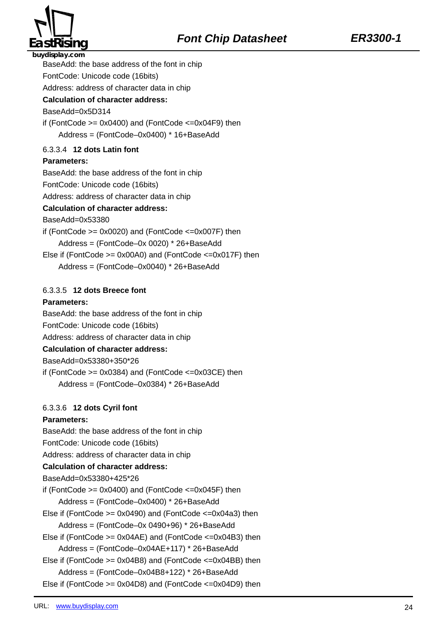

BaseAdd: the base address of the font in chip

FontCode: Unicode code (16bits)

Address: address of character data in chip

#### **Calculation of character address:**

#### BaseAdd=0x5D314

if (FontCode  $>= 0x0400$ ) and (FontCode  $<= 0x04F9$ ) then Address = (FontCode–0x0400) \* 16+BaseAdd

#### 6.3.3.4 **12 dots Latin font**

#### **Parameters:**

BaseAdd: the base address of the font in chip

FontCode: Unicode code (16bits)

Address: address of character data in chip

#### **Calculation of character address:**

BaseAdd=0x53380

if (FontCode  $>= 0x0020$ ) and (FontCode  $<= 0x007F$ ) then Address = (FontCode–0x 0020) \* 26+BaseAdd Else if (FontCode >= 0x00A0) and (FontCode <=0x017F) then

Address = (FontCode–0x0040) \* 26+BaseAdd

#### 6.3.3.5 **12 dots Breece font**

#### **Parameters:**

BaseAdd: the base address of the font in chip

FontCode: Unicode code (16bits)

Address: address of character data in chip

#### **Calculation of character address:**

BaseAdd=0x53380+350\*26

if (FontCode  $>= 0x0384$ ) and (FontCode  $<= 0x03CE$ ) then Address = (FontCode–0x0384) \* 26+BaseAdd

#### 6.3.3.6 **12 dots Cyril font**

#### **Parameters:**

BaseAdd: the base address of the font in chip

FontCode: Unicode code (16bits)

Address: address of character data in chip

#### **Calculation of character address:**

BaseAdd=0x53380+425\*26

if (FontCode  $>= 0x0400$ ) and (FontCode  $<= 0x045F$ ) then

Address = (FontCode–0x0400) \* 26+BaseAdd

Else if (FontCode  $>= 0x0490$ ) and (FontCode  $<= 0x04a3$ ) then

Address = (FontCode–0x 0490+96) \* 26+BaseAdd

Else if (FontCode >= 0x04AE) and (FontCode <=0x04B3) then

Address = (FontCode–0x04AE+117) \* 26+BaseAdd

Else if (FontCode >= 0x04B8) and (FontCode <=0x04BB) then

Address = (FontCode–0x04B8+122) \* 26+BaseAdd

Else if (FontCode >= 0x04D8) and (FontCode <=0x04D9) then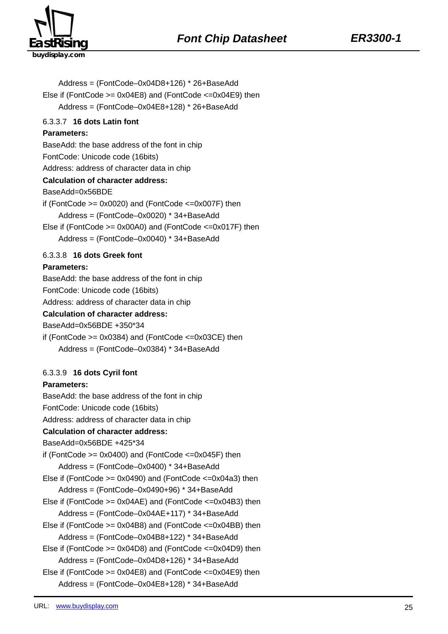

Address = (FontCode–0x04D8+126) \* 26+BaseAdd Else if (FontCode  $>= 0x04E8$ ) and (FontCode  $<= 0x04E9$ ) then Address = (FontCode–0x04E8+128) \* 26+BaseAdd 6.3.3.7 **16 dots Latin font Parameters:**  BaseAdd: the base address of the font in chip FontCode: Unicode code (16bits) Address: address of character data in chip **Calculation of character address:**  BaseAdd=0x56BDE if (FontCode  $>= 0x0020$ ) and (FontCode  $<= 0x007F$ ) then Address = (FontCode–0x0020) \* 34+BaseAdd Else if (FontCode >= 0x00A0) and (FontCode <=0x017F) then Address = (FontCode–0x0040) \* 34+BaseAdd 6.3.3.8 **16 dots Greek font Parameters:**  BaseAdd: the base address of the font in chip FontCode: Unicode code (16bits) Address: address of character data in chip **Calculation of character address:**  BaseAdd=0x56BDE +350\*34 if (FontCode  $>= 0x0384$ ) and (FontCode  $<= 0x03CE$ ) then Address = (FontCode–0x0384) \* 34+BaseAdd 6.3.3.9 **16 dots Cyril font Parameters:**  BaseAdd: the base address of the font in chip FontCode: Unicode code (16bits) Address: address of character data in chip **Calculation of character address:**  BaseAdd=0x56BDE +425\*34 if (FontCode  $>= 0x0400$ ) and (FontCode  $<= 0x045F$ ) then Address = (FontCode–0x0400) \* 34+BaseAdd Else if (FontCode  $>= 0x0490$ ) and (FontCode  $<= 0x04a3$ ) then Address = (FontCode–0x0490+96) \* 34+BaseAdd Else if (FontCode >= 0x04AE) and (FontCode <=0x04B3) then Address = (FontCode–0x04AE+117) \* 34+BaseAdd Else if (FontCode >= 0x04B8) and (FontCode <=0x04BB) then Address = (FontCode–0x04B8+122) \* 34+BaseAdd Else if (FontCode >= 0x04D8) and (FontCode <=0x04D9) then Address = (FontCode–0x04D8+126) \* 34+BaseAdd Else if (FontCode >= 0x04E8) and (FontCode <=0x04E9) then Address = (FontCode–0x04E8+128) \* 34+BaseAdd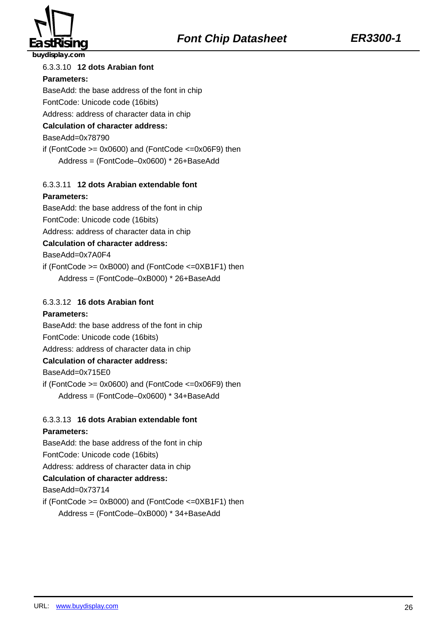

#### 6.3.3.10 **12 dots Arabian font**

#### **Parameters:**

BaseAdd: the base address of the font in chip

#### FontCode: Unicode code (16bits)

Address: address of character data in chip

#### **Calculation of character address:**

BaseAdd=0x78790

if (FontCode  $>= 0x0600$ ) and (FontCode  $<= 0x06F9$ ) then Address = (FontCode–0x0600) \* 26+BaseAdd

#### 6.3.3.11 **12 dots Arabian extendable font**

#### **Parameters:**

BaseAdd: the base address of the font in chip

FontCode: Unicode code (16bits)

Address: address of character data in chip

#### **Calculation of character address:**

BaseAdd=0x7A0F4

if (FontCode >= 0xB000) and (FontCode <=0XB1F1) then Address = (FontCode–0xB000) \* 26+BaseAdd

#### 6.3.3.12 **16 dots Arabian font**

#### **Parameters:**

BaseAdd: the base address of the font in chip

#### FontCode: Unicode code (16bits)

Address: address of character data in chip

#### **Calculation of character address:**

BaseAdd=0x715E0

if (FontCode  $>= 0x0600$ ) and (FontCode  $<= 0x06F9$ ) then Address = (FontCode–0x0600) \* 34+BaseAdd

### 6.3.3.13 **16 dots Arabian extendable font**

#### **Parameters:**

BaseAdd: the base address of the font in chip FontCode: Unicode code (16bits) Address: address of character data in chip **Calculation of character address:**  BaseAdd=0x73714 if (FontCode  $>= 0xB000$ ) and (FontCode  $<= 0xB1F1$ ) then

Address = (FontCode–0xB000) \* 34+BaseAdd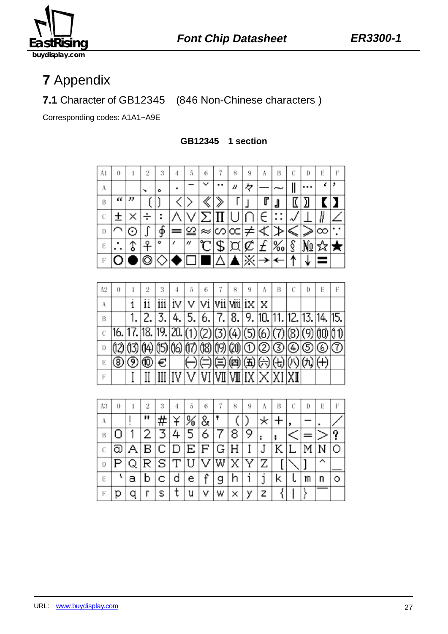

**7** Appendix

**7.1** Character of GB12345 (846 Non-Chinese characters )

Corresponding codes: A1A1~A9E

**GB12345 1 section** 



| Α2 | 0 | 2                                                                     | 3        | 5                                                                                                                                           | 6 | 8 | 9 | A |  | Ð | Е | Е |
|----|---|-----------------------------------------------------------------------|----------|---------------------------------------------------------------------------------------------------------------------------------------------|---|---|---|---|--|---|---|---|
| Α  |   |                                                                       | $\cdots$ | $ {\rm iv} $ ${\rm v}$ $ {\rm vi}$ $ {\rm vi}$ $ {\rm vi}$ $ {\rm ix} $ ${\rm x}$                                                           |   |   |   |   |  |   |   |   |
| В  |   |                                                                       |          | $2, 3, 4, 5, 6, 7, 8, 9, 10, 11, 12, 13, 14, 15,$                                                                                           |   |   |   |   |  |   |   |   |
|    |   | $16.  17.  18.  19.  20. (1) (2) (3) (4) (5) (6) (7) (8) (9) (1) (1)$ |          |                                                                                                                                             |   |   |   |   |  |   |   |   |
| D  |   | (12) 13 14 15 16 17 18 19 20 0 0 3 0 6 0 1                            |          |                                                                                                                                             |   |   |   |   |  |   |   |   |
| E  |   | ® ® ® €                                                               |          | ① ① @ @ @ @ @ @ @ @                                                                                                                         |   |   |   |   |  |   |   |   |
| Е  |   |                                                                       |          | $\frac{1}{2}$ $\frac{1}{2}$ $\frac{1}{2}$ $\frac{1}{2}$ $\frac{1}{2}$ $\frac{1}{2}$ $\frac{1}{2}$ $\frac{1}{2}$ $\frac{1}{2}$ $\frac{1}{2}$ |   |   |   |   |  |   |   |   |

| A3 | 0 |   | 9 | 3   | 4 | 5                   | 6 |   | 8  | 9 | Α | В | Ð | Е | Е |
|----|---|---|---|-----|---|---------------------|---|---|----|---|---|---|---|---|---|
| A  |   |   | " |     |   | ℅                   | & |   |    |   |   |   |   |   |   |
| В  |   |   |   |     |   | 5                   | б |   |    |   |   |   |   |   |   |
| C  | බ | Α | в | IC. | D | $ {\bf E} {\bf F} $ |   | G | ΙH |   |   |   |   |   |   |
| D  |   | Q | R | S   | Т |                     |   | W |    |   | Ζ |   |   |   |   |
| E  |   | а |   |     | d | e                   | c |   |    |   |   | Κ | m | n |   |
| F  |   |   | r |     | ι | u                   | ٧ | W |    |   | z |   |   |   |   |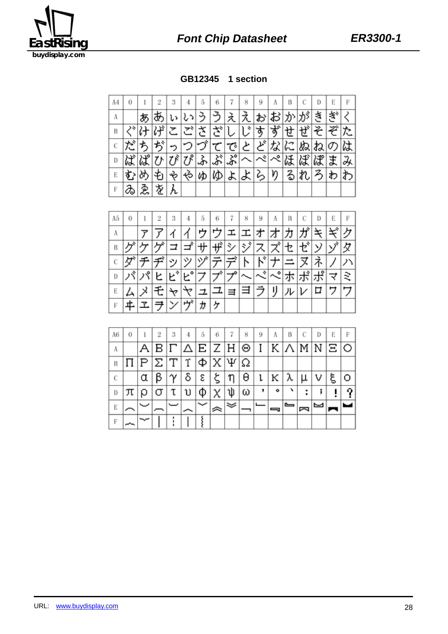

**GB12345 1 section**

| A4 | 0 |       |   | 3 |                            | 5  | 6                 |                                  | 8 | 9 | А        | В |    | D | Е | F |
|----|---|-------|---|---|----------------------------|----|-------------------|----------------------------------|---|---|----------|---|----|---|---|---|
| Α  |   | Y)    |   |   |                            |    |                   | え                                |   |   | お        |   |    | š |   |   |
| B  |   |       |   |   |                            |    | $\mathcal{X}_{s}$ |                                  | ÷ | す | خد<br>σ, | N |    | そ | ≫ |   |
|    | だ | ゙゚゚゚゚ | ぢ |   |                            |    |                   | で、                               | と | ど | な        | に | ぬ  | ね | の |   |
| D  | ぼ | ぱ     |   |   | $\overline{\mathcal{U}}^s$ | ふ  | ぷ                 | $\overline{\mathcal{S}}^{\circ}$ |   | べ | ぺ        |   | ИĴ | ぱ | ま |   |
| E  | ず |       |   |   | సి                         | ΚÞ | KD                | よ                                | ょ | る | ŋ        | る |    |   | わ |   |
| F  | ゐ | ゑ     | 垄 |   |                            |    |                   |                                  |   |   |          |   |    |   |   |   |

| A5 | 0 |   | 2  | 3     |                           | 5  | 6                           |    | 8                        | 9      | А    | В |                    | D   | Е | F |
|----|---|---|----|-------|---------------------------|----|-----------------------------|----|--------------------------|--------|------|---|--------------------|-----|---|---|
| Α  |   |   |    |       |                           |    |                             | I. | エ                        | ᡒ      | オ    |   |                    | ᆇ   | ≍ |   |
| B  |   |   |    |       | ⊐                         | 。サ | ザ                           | シ  | $\overline{\mathcal{Z}}$ | ス      | ズ    | ቲ | ゼ                  | コゾド | ブ | 攵 |
| C  |   |   |    | ッ     | ツ                         | ヅ  |                             |    | N                        | L۹     |      |   |                    | ネ   |   |   |
| D  |   | パ | Ł. | $E^*$ | $\mathsf{E}_{\mathsf{o}}$ | フ  | $\mathcal{T}^{\mathcal{N}}$ |    | $\sim$                   | $\sim$ | ぺ    | 朩 | $\rightarrow$<br>朩 | ポ   | ₹ | ₹ |
| E  |   |   |    |       |                           | 그  |                             | ≡  | ヨ                        | !ラ.    | ٠IJ. | ル | ∣レ                 | □   | サ |   |
| F  | ≖ |   | ₹  | У     | ヴ゚                        | ゕ  | ヶ                           |    |                          |        |      |   |                    |     |   |   |

| A6 | 0 |                  |   | 3        |                             | 5 | 6 |                 | 8 | 9 |                        | в |   | Ð | Е |  |
|----|---|------------------|---|----------|-----------------------------|---|---|-----------------|---|---|------------------------|---|---|---|---|--|
| А  |   |                  |   |          | B Γ Δ Ε Ζ Η Θ Ι Κ Λ Μ Ν Ξ Ο |   |   |                 |   |   |                        |   |   |   |   |  |
| B  |   | $ P \Sigma $ $T$ |   |          | Υ                           | Ф |   | $X \Psi \Omega$ |   |   |                        |   |   |   |   |  |
| C  |   | α                | β | $\gamma$ | δ                           | ε | ۶ | η               | θ | ι | $\lvert \kappa \rvert$ | λ | μ |   | ξ |  |
| D  | π | I Q              | σ | τ        | υ                           | Φ |   | W               | ω |   | ۰                      |   | ٠ |   |   |  |
| E  |   |                  |   |          |                             |   |   |                 |   |   |                        | ▭ |   |   |   |  |
| F  |   |                  |   |          |                             |   |   |                 |   |   |                        |   |   |   |   |  |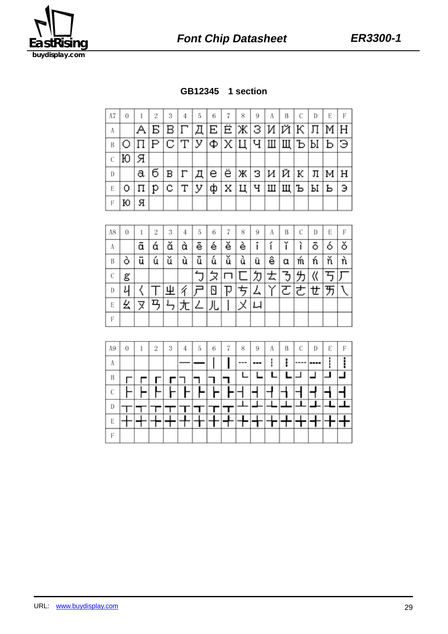



| A7 | 0 |           | 3   |                                                                                        | 5 | 6 | 7 | 8                                            | 9 | A | В | Ð | E |    |
|----|---|-----------|-----|----------------------------------------------------------------------------------------|---|---|---|----------------------------------------------|---|---|---|---|---|----|
| Α  |   |           |     | $A B B \Gamma \overline{A} E E \mathcal{K} 3 H \mathcal{K} \overline{A} \mathcal{M} H$ |   |   |   |                                              |   |   |   |   |   |    |
| B  |   |           |     | <u>с цым ш ш л х с дранда</u>                                                          |   |   |   |                                              |   |   |   |   |   |    |
| C  | Ю | Я         |     |                                                                                        |   |   |   |                                              |   |   |   |   |   |    |
| D  |   | a         | б∣в | $ \Gamma $ д е ё ж з и й к л м н                                                       |   |   |   |                                              |   |   |   |   |   |    |
| Е  | 0 | $ \Pi $ p |     | $ C T $ y                                                                              |   |   |   | $ \Phi $ X $ \Pi $ Ч $ \Pi $ Щ $ P $ Р $ P $ |   |   |   |   |   | lэ |
| F  | ю | я         |     |                                                                                        |   |   |   |                                              |   |   |   |   |   |    |

| A8 | 0 |   | 2 | 3 | 4 | 5 | 6 |   | 8 | 9   | A | В | С | D | Е | F |
|----|---|---|---|---|---|---|---|---|---|-----|---|---|---|---|---|---|
| Α  |   | ā | ά | ă | à | ē | é | ě | è |     |   |   |   | ō | Ò | ŏ |
| B  | Ο | ū | ú | ŭ | ù | ū | ű | ŭ | ù | ü   | ê | α | m | ń | ň |   |
| С  | g |   |   |   |   | v | ⋊ |   |   | IJ. | 去 | 3 |   | 《 |   |   |
| D  | ι |   |   | Ψ |   |   |   | w |   | 厶   |   | ਟ | き | せ | 万 |   |
| E  | 幺 | ጆ |   |   |   | ∠ | 儿 |   |   | 니   |   |   |   |   |   |   |
| F  |   |   |   |   |   |   |   |   |   |     |   |   |   |   |   |   |

| 5<br>7<br>8<br>3<br>6<br>С<br>A9<br>2<br>0<br>В<br>9<br>Α<br>4<br>A<br>---<br>----<br>--- | D<br>---- | Е | F |
|-------------------------------------------------------------------------------------------|-----------|---|---|
|                                                                                           |           |   |   |
|                                                                                           |           |   |   |
| В                                                                                         |           |   |   |
| C                                                                                         |           |   |   |
| D                                                                                         |           |   |   |
| E                                                                                         |           |   |   |
| F                                                                                         |           |   |   |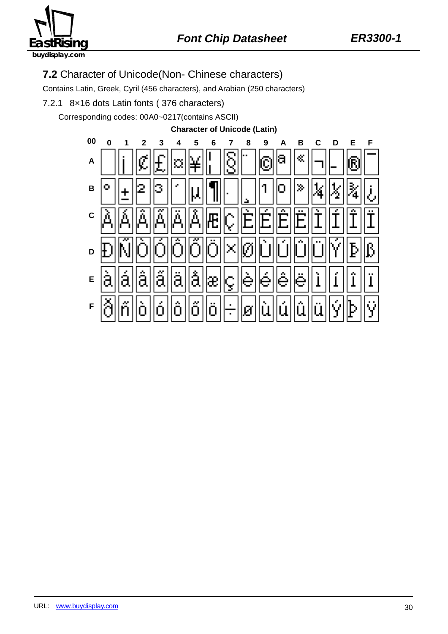

## **7.2** Character of Unicode(Non- Chinese characters)

Contains Latin, Greek, Cyril (456 characters), and Arabian (250 characters)

7.2.1 8×16 dots Latin fonts ( 376 characters)

Corresponding codes: 00A0~0217(contains ASCII)

**Character of Unicode (Latin)**

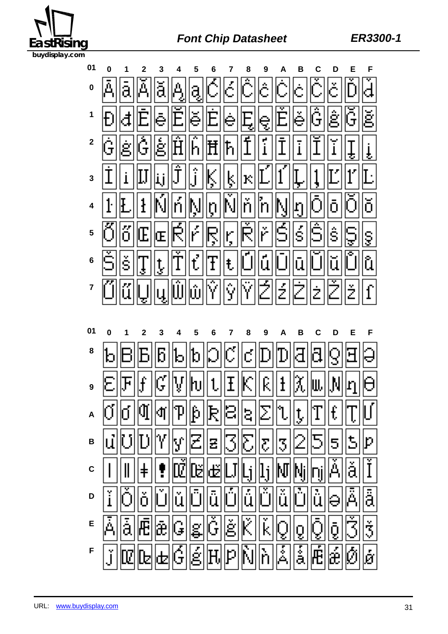

# **EastRising Font Chip Datasheet ER3300-1**

| 01          |                                                                                                                                                                                                                                                                                                                     | $\overline{2}$ |   | $\overline{4}$ | 5 | 6                                                          | 7                       | 8                          | 9                                         |   |    | D   |                      |     |
|-------------|---------------------------------------------------------------------------------------------------------------------------------------------------------------------------------------------------------------------------------------------------------------------------------------------------------------------|----------------|---|----------------|---|------------------------------------------------------------|-------------------------|----------------------------|-------------------------------------------|---|----|-----|----------------------|-----|
|             | $\mathfrak{o}$ $ \bar{\mathbb{A}} $                                                                                                                                                                                                                                                                                 |                |   |                |   |                                                            |                         |                            |                                           |   |    |     |                      |     |
|             | <u>* Pafe e E ser e E ser e ser a se</u>                                                                                                                                                                                                                                                                            |                |   |                |   |                                                            |                         |                            |                                           |   |    |     |                      |     |
|             |                                                                                                                                                                                                                                                                                                                     |                |   |                |   |                                                            |                         |                            |                                           |   |    |     |                      |     |
|             | $\frac{1}{2}$ $\frac{1}{2}$ $\frac{1}{2}$ $\frac{1}{2}$ $\frac{1}{2}$ $\frac{1}{2}$ $\frac{1}{2}$ $\frac{1}{2}$ $\frac{1}{2}$ $\frac{1}{2}$ $\frac{1}{2}$ $\frac{1}{2}$ $\frac{1}{2}$ $\frac{1}{2}$ $\frac{1}{2}$ $\frac{1}{2}$ $\frac{1}{2}$ $\frac{1}{2}$ $\frac{1}{2}$ $\frac{1}{2}$ $\frac{1}{2}$ $\frac{1}{2}$ |                |   |                |   |                                                            |                         |                            |                                           |   |    |     |                      |     |
|             | + FEFMARD NAMER                                                                                                                                                                                                                                                                                                     |                |   |                |   |                                                            |                         |                            |                                           |   |    |     |                      |     |
|             | <u>, ÖÖEEFRARRARASISISISIS</u>                                                                                                                                                                                                                                                                                      |                |   |                |   |                                                            |                         |                            |                                           |   |    |     |                      |     |
|             | $\cdot$ ŠST, TIME TE OOOOOOOO                                                                                                                                                                                                                                                                                       |                |   |                |   |                                                            |                         |                            |                                           |   |    |     |                      |     |
|             | $^\prime$ Ökiy (qür bir) (ö                                                                                                                                                                                                                                                                                         |                |   |                |   |                                                            |                         |                            |                                           |   |    |     |                      |     |
|             |                                                                                                                                                                                                                                                                                                                     |                |   |                |   |                                                            |                         |                            |                                           |   |    |     |                      |     |
|             |                                                                                                                                                                                                                                                                                                                     |                |   |                |   |                                                            |                         |                            |                                           |   |    |     |                      |     |
| 01          |                                                                                                                                                                                                                                                                                                                     | $\overline{2}$ |   |                |   | 6                                                          | $\overline{\mathbf{7}}$ |                            | 9                                         | A | B  |     | E                    | F   |
| 8           | $\frac{1}{2}$ $\frac{1}{2}$ $\frac{1}{2}$ $\frac{1}{2}$ $\frac{1}{2}$ $\frac{1}{2}$ $\frac{1}{2}$ $\frac{1}{2}$ $\frac{1}{2}$ $\frac{1}{2}$ $\frac{1}{2}$ $\frac{1}{2}$ $\frac{1}{2}$ $\frac{1}{2}$ $\frac{1}{2}$ $\frac{1}{2}$ $\frac{1}{2}$ $\frac{1}{2}$ $\frac{1}{2}$ $\frac{1}{2}$ $\frac{1}{2}$ $\frac{1}{2}$ |                |   |                |   |                                                            |                         |                            |                                           |   |    |     |                      |     |
|             |                                                                                                                                                                                                                                                                                                                     |                |   |                |   |                                                            |                         |                            |                                           |   |    |     |                      |     |
|             | $\overline{16}$ , effective in the set of $\overline{16}$                                                                                                                                                                                                                                                           |                |   |                |   |                                                            |                         | $\mathbb{E}\ \mathbb{S}\ $ |                                           |   |    |     |                      |     |
| B           |                                                                                                                                                                                                                                                                                                                     |                |   |                |   | 221                                                        |                         |                            | $\lVert \boldsymbol{\mathsf{z}} \rVert$ उ |   | 21 | (5) | $ {\tt 5}  {\tt p} $ |     |
| $\mathbf c$ |                                                                                                                                                                                                                                                                                                                     |                |   |                | ᄜ | ď                                                          |                         | $\lfloor i \rfloor$        | $\mathbf{l}_1 \mathbf{M}$                 |   |    |     |                      |     |
| D           | ľ                                                                                                                                                                                                                                                                                                                   | ŏ              |   |                |   | $ \check{\mathrm{u}} \mathbb{\bar{O}} \tilde{\mathrm{u}} $ |                         | ÖÃ                         | ĎĨŭ                                       |   |    |     |                      |     |
| E           |                                                                                                                                                                                                                                                                                                                     |                | 剧 | G              |   | eğeki                                                      |                         |                            |                                           |   | ğ  | i)  | Ğ                    | lž. |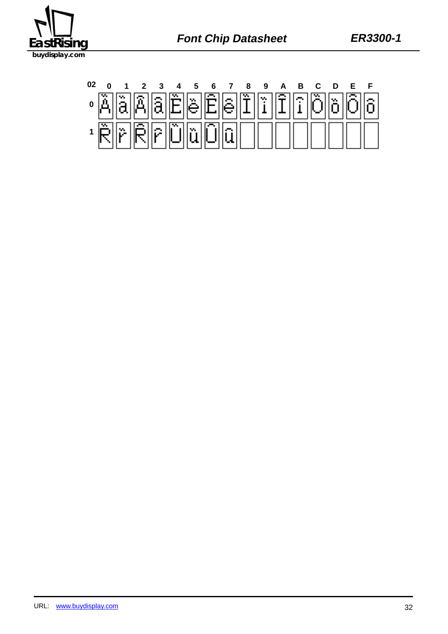

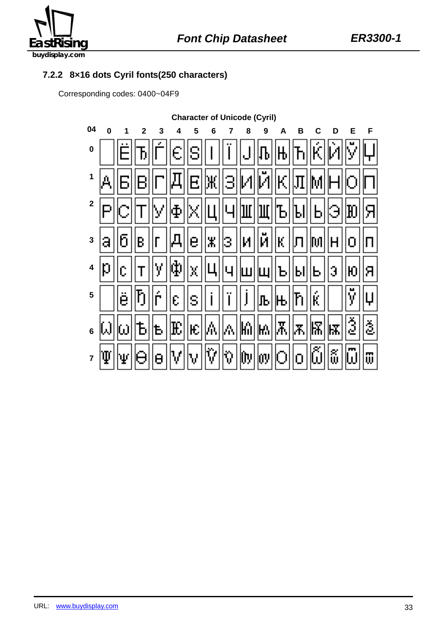

#### **7.2.2 8×16 dots Cyril fonts(250 characters)**

Corresponding codes: 0400~04F9

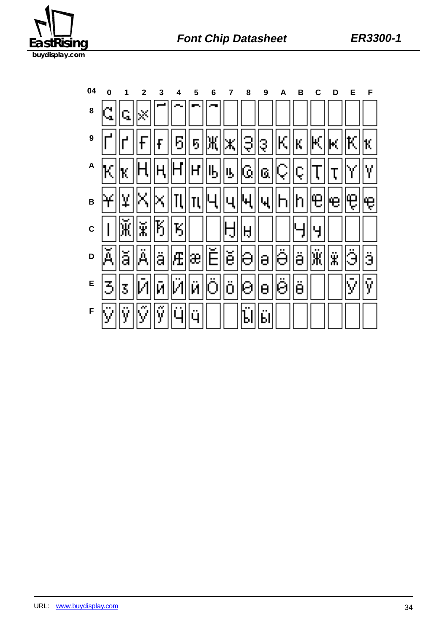

| 04 |    |  | 5 | 6                                                                                                                                                                                                                                                                                                                                                                                                                                                          | 8 | 9 |  |      | Е                                                                                                                                                                                                 |   |
|----|----|--|---|------------------------------------------------------------------------------------------------------------------------------------------------------------------------------------------------------------------------------------------------------------------------------------------------------------------------------------------------------------------------------------------------------------------------------------------------------------|---|---|--|------|---------------------------------------------------------------------------------------------------------------------------------------------------------------------------------------------------|---|
| 8  | Q, |  |   |                                                                                                                                                                                                                                                                                                                                                                                                                                                            |   |   |  |      |                                                                                                                                                                                                   |   |
|    |    |  |   |                                                                                                                                                                                                                                                                                                                                                                                                                                                            |   |   |  |      | ° r'  r  F  F  5  5  Ж  ж  3  3  К  К  К  К  К                                                                                                                                                    |   |
|    |    |  |   |                                                                                                                                                                                                                                                                                                                                                                                                                                                            |   |   |  |      | $\sim \mathbb{E}[\mathbf{k}[\mathbf{H}[\mathbf{H}[\mathbf{H}]]\mathbf{H}][\mathbf{H}][\mathbf{B}][\mathbf{B}][\mathbf{G}][\mathbf{G}][\mathbf{C}][\mathbf{T}][\mathbf{T}][\mathbf{Y}]]\mathbf{Y}$ |   |
|    |    |  |   |                                                                                                                                                                                                                                                                                                                                                                                                                                                            |   |   |  |      | <sub>╸</sub> ┝╢⋤╟╣╳║╖║┅║╙║╓║╓║╓║╟╜║╘║╩║╩║╩                                                                                                                                                        |   |
|    |    |  |   | $\sim  \mid  \widetilde{\mathbf{K}}  \widetilde{\mathbf{x}}  \widetilde{\mathbf{K}}  \widetilde{\mathbf{K}}  \widetilde{\mathbf{K}}   \mid \mid \mid  \mathbf{H}  _{\mathbf{H}}  $                                                                                                                                                                                                                                                                         |   |   |  | ∏म∭न |                                                                                                                                                                                                   |   |
| D  |    |  |   |                                                                                                                                                                                                                                                                                                                                                                                                                                                            |   |   |  |      | اقاا                                                                                                                                                                                              |   |
|    |    |  |   | <u>Е  З Б Й Й Й Й Й Ө Ө Ө Ө Ө Ө  Ө  Г</u>                                                                                                                                                                                                                                                                                                                                                                                                                  |   |   |  |      | IМ                                                                                                                                                                                                | ÿ |
|    |    |  |   | $\mathbb{E} \left[ \mathbb{E} \left[ \mathbb{E} \left[ \mathbb{E} \left[ \mathbb{E} \left[ \mathbb{E} \left[ \mathbb{E} \left[ \mathbb{E} \left[ \mathbb{E} \left[ \mathbb{E} \left[ \mathbb{E} \left[ \mathbb{E} \left[ \mathbb{E} \left[ \mathbb{E} \left[ \mathbb{E} \left[ \mathbb{E} \left[ \mathbb{E} \left[ \mathbb{E} \left[ \mathbb{E} \left[ \mathbb{E} \left[ \mathbb{E} \left[ \mathbb{E} \left[ \mathbb{E} \left[ \mathbb{E} \left[ \mathbb{$ |   |   |  |      |                                                                                                                                                                                                   |   |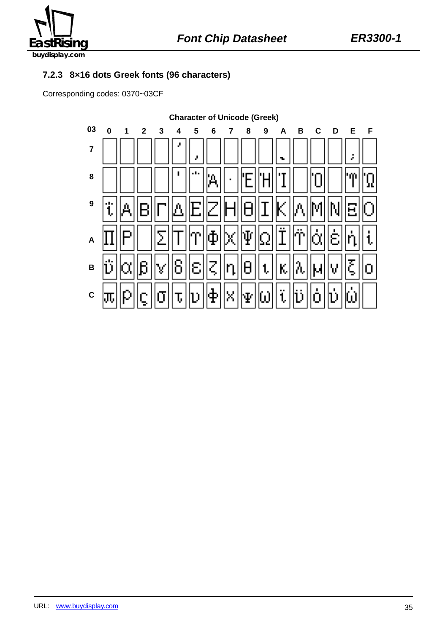

### **7.2.3 8×16 dots Greek fonts (96 characters)**

Corresponding codes: 0370~03CF

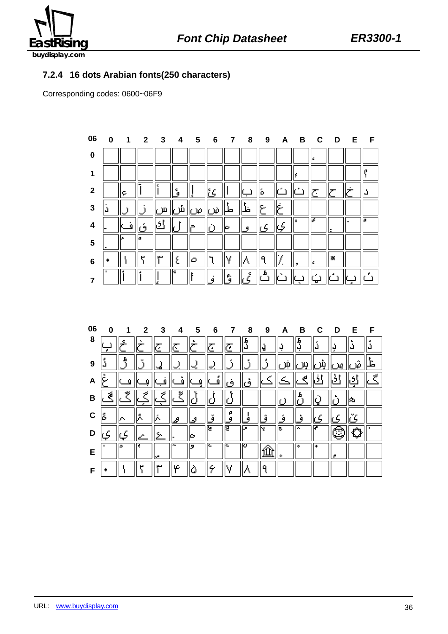

### **7.2.4 16 dots Arabian fonts(250 characters)**

Corresponding codes: 0600~06F9



| 06 | U |    | $\mathbf{2}$ | 3  | 4  | 5  | 6      | 7      | 8      | 9   | A | В      | C | ח | Е   | F |
|----|---|----|--------------|----|----|----|--------|--------|--------|-----|---|--------|---|---|-----|---|
| 8  |   |    |              | ۰, | ۰. |    | Ζ,     | Ζ,     | G<br>J | H   | Ŗ | Ь<br>Ģ | ů | Ų | ů   |   |
| 9  |   |    |              |    |    |    |        |        |        |     |   |        |   | ĸ |     |   |
| A  |   |    |              |    |    |    |        |        |        |     |   |        |   |   |     |   |
| B  | 2 | e, |              |    | ×  |    |        |        |        |     |   | п      | ٣ |   | 195 |   |
| C  | ß | o. | λ            |    | ê  | s  | v<br>я | ρ<br>9 |        | o   | я | o      |   |   |     |   |
| D  |   |    |              |    |    | ю  | Ε      | 厄      | L.     | ŀν. | ь | l av   |   |   |     |   |
| Е  |   | ıь |              | w  | ≂  | l9 | r.     | R.     | ю      |     | ۰ | l or   | ۰ |   |     |   |
| F  |   |    |              |    | œ. |    |        |        |        | Q   |   |        |   |   |     |   |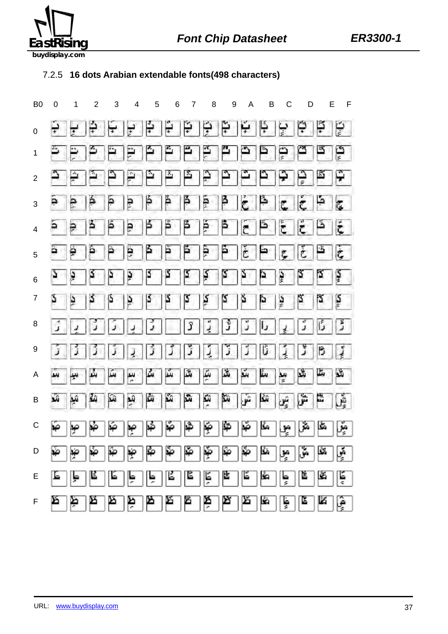

### 7.2.5 **16 dots Arabian extendable fonts(498 characters)**

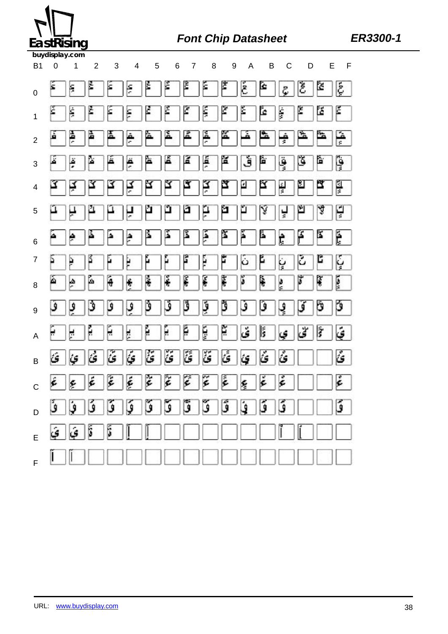

# **EastRising Font Chip Datasheet ER3300-1**

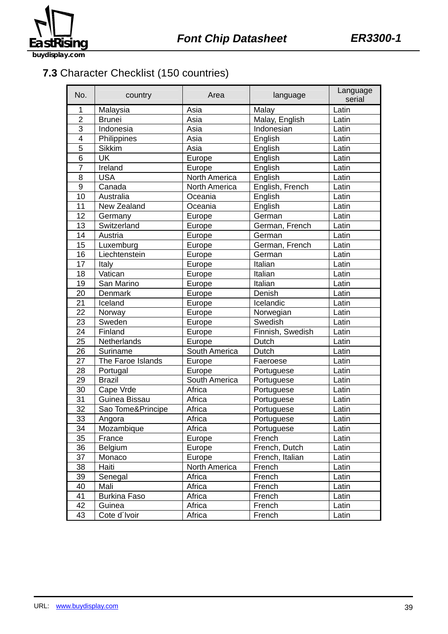

**7.3** Character Checklist (150 countries)

| No.              | country             | Area          | language         | Language<br>serial |
|------------------|---------------------|---------------|------------------|--------------------|
| 1                | Malaysia            | Asia          | Malay            | Latin              |
| $\overline{2}$   | <b>Brunei</b>       | Asia          | Malay, English   | Latin              |
| 3                | Indonesia           | Asia          | Indonesian       | Latin              |
| $\overline{4}$   | Philippines         | Asia          | English          | Latin              |
| 5                | <b>Sikkim</b>       | Asia          | English          | Latin              |
| 6                | <b>UK</b>           | Europe        | English          | Latin              |
| $\overline{7}$   | Ireland             | Europe        | English          | Latin              |
| 8                | <b>USA</b>          | North America | English          | Latin              |
| $\boldsymbol{9}$ | Canada              | North America | English, French  | Latin              |
| 10               | Australia           | Oceania       | English          | Latin              |
| 11               | New Zealand         | Oceania       | English          | Latin              |
| 12               | Germany             | Europe        | German           | Latin              |
| 13               | Switzerland         | Europe        | German, French   | Latin              |
| 14               | Austria             | Europe        | German           | Latin              |
| 15               | Luxemburg           | Europe        | German, French   | Latin              |
| 16               | Liechtenstein       | Europe        | German           | Latin              |
| 17               | Italy               | Europe        | Italian          | Latin              |
| 18               | Vatican             | Europe        | Italian          | Latin              |
| 19               | San Marino          | Europe        | Italian          | Latin              |
| 20               | Denmark             | Europe        | Denish           | Latin              |
| 21               | Iceland             | Europe        | Icelandic        | Latin              |
| 22               | Norway              | Europe        | Norwegian        | Latin              |
| 23               | Sweden              | Europe        | Swedish          | Latin              |
| 24               | Finland             | Europe        | Finnish, Swedish | Latin              |
| 25               | Netherlands         | Europe        | Dutch            | Latin              |
| 26               | Suriname            | South America | Dutch            | Latin              |
| $\overline{27}$  | The Faroe Islands   | Europe        | Faeroese         | Latin              |
| 28               | Portugal            | Europe        | Portuguese       | Latin              |
| 29               | <b>Brazil</b>       | South America | Portuguese       | Latin              |
| 30               | Cape Vrde           | Africa        | Portuguese       | Latin              |
| 31               | Guinea Bissau       | Africa        | Portuguese       | Latin              |
| 32               | Sao Tome&Principe   | Africa        | Portuguese       | Latin              |
| 33               | Angora              | Africa        | Portuguese       | Latin              |
| 34               | Mozambique          | Africa        | Portuguese       | Latin              |
| 35               | France              | Europe        | French           | Latin              |
| 36               | <b>Belgium</b>      | Europe        | French, Dutch    | Latin              |
| 37               | Monaco              | Europe        | French, Italian  | Latin              |
| 38               | Haiti               | North America | French           | Latin              |
| 39               | Senegal             | Africa        | French           | Latin              |
| 40               | Mali                | Africa        | French           | Latin              |
| 41               | <b>Burkina Faso</b> | Africa        | French           | Latin              |
| 42               | Guinea              | Africa        | French           | Latin              |
| 43               | Cote d'Ivoir        | Africa        | French           | Latin              |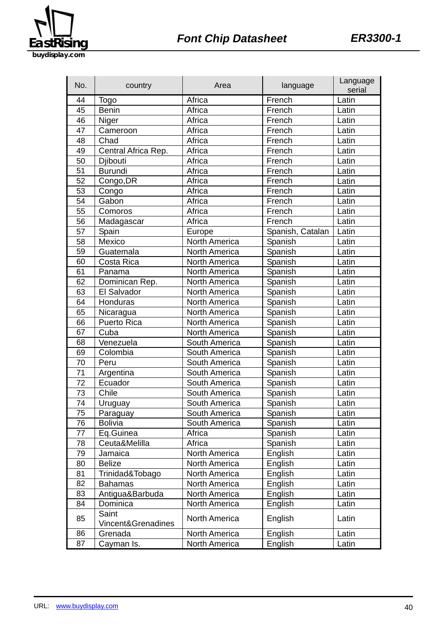

| No. | country                     | Area                 | language         | Language<br>serial |
|-----|-----------------------------|----------------------|------------------|--------------------|
| 44  | Togo                        | Africa               | French           | Latin              |
| 45  | <b>Benin</b>                | Africa               | French           | Latin              |
| 46  | Niger                       | Africa               | French           | Latin              |
| 47  | Cameroon                    | Africa               | French           | Latin              |
| 48  | Chad                        | Africa               | French           | Latin              |
| 49  | Central Africa Rep.         | Africa               | French           | Latin              |
| 50  | Djibouti                    | Africa               | French           | Latin              |
| 51  | <b>Burundi</b>              | Africa               | French           | Latin              |
| 52  | Congo, DR                   | Africa               | French           | Latin              |
| 53  | Congo                       | Africa               | French           | Latin              |
| 54  | Gabon                       | Africa               | French           | Latin              |
| 55  | Comoros                     | Africa               | French           | Latin              |
| 56  | Madagascar                  | Africa               | French           | Latin              |
| 57  | Spain                       | Europe               | Spanish, Catalan | Latin              |
| 58  | Mexico                      | North America        | Spanish          | Latin              |
| 59  | Guatemala                   | North America        | Spanish          | Latin              |
| 60  | Costa Rica                  | North America        | Spanish          | Latin              |
| 61  | Panama                      | North America        | Spanish          | Latin              |
| 62  | Dominican Rep.              | North America        | Spanish          | Latin              |
| 63  | El Salvador                 | North America        | Spanish          | Latin              |
| 64  | Honduras                    | <b>North America</b> | Spanish          | Latin              |
| 65  | Nicaragua                   | North America        | Spanish          | Latin              |
| 66  | <b>Puerto Rica</b>          | North America        | Spanish          | Latin              |
| 67  | Cuba                        | North America        | Spanish          | Latin              |
| 68  | Venezuela                   | South America        | Spanish          | Latin              |
| 69  | Colombia                    | South America        | Spanish          | Latin              |
| 70  | Peru                        | South America        | Spanish          | Latin              |
| 71  | Argentina                   | South America        | Spanish          | Latin              |
| 72  | Ecuador                     | South America        | Spanish          | Latin              |
| 73  | Chile                       | South America        | Spanish          | Latin              |
| 74  | Uruguay                     | South America        | Spanish          | Latin              |
| 75  | Paraguay                    | South America        | Spanish          | Latin              |
| 76  | <b>Bolivia</b>              | South America        | Spanish          | Latin              |
| 77  | Eq.Guinea                   | Africa               | Spanish          | Latin              |
| 78  | Ceuta&Melilla               | Africa               | Spanish          | Latin              |
| 79  | Jamaica                     | North America        | English          | Latin              |
| 80  | <b>Belize</b>               | North America        | English          | Latin              |
| 81  | Trinidad&Tobago             | North America        | English          | Latin              |
| 82  | <b>Bahamas</b>              | North America        | English          | Latin              |
| 83  | Antigua&Barbuda             | North America        | English          | Latin              |
| 84  | Dominica                    | North America        | English          | Latin              |
| 85  | Saint<br>Vincent&Grenadines | North America        | English          | Latin              |
| 86  | Grenada                     | North America        | English          | Latin              |
| 87  | Cayman Is.                  | <b>North America</b> | English          | Latin              |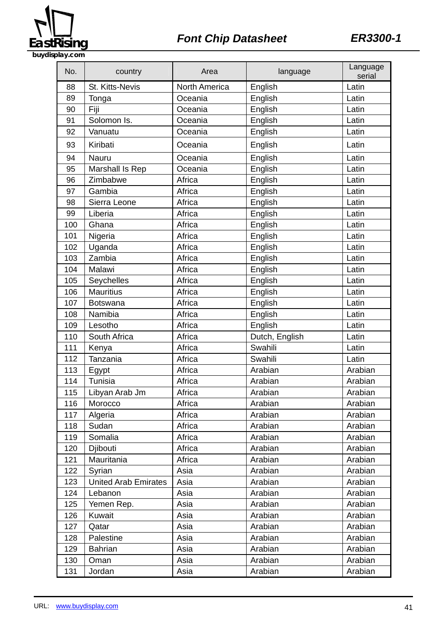

# **EastRising Font Chip Datasheet ER3300-1**

**buydisplay.com**

| No. | country                     | Area                 | language       | Language<br>serial |
|-----|-----------------------------|----------------------|----------------|--------------------|
| 88  | St. Kitts-Nevis             | <b>North America</b> | English        | Latin              |
| 89  | Tonga                       | Oceania              | English        | Latin              |
| 90  | Fiji                        | Oceania              | English        | Latin              |
| 91  | Solomon Is.                 | Oceania              | English        | Latin              |
| 92  | Vanuatu                     | Oceania              | English        | Latin              |
| 93  | Kiribati                    | Oceania              | English        | Latin              |
| 94  | Nauru                       | Oceania              | English        | Latin              |
| 95  | Marshall Is Rep             | Oceania              | English        | Latin              |
| 96  | Zimbabwe                    | Africa               | English        | Latin              |
| 97  | Gambia                      | Africa               | English        | Latin              |
| 98  | Sierra Leone                | Africa               | English        | Latin              |
| 99  | Liberia                     | Africa               | English        | Latin              |
| 100 | Ghana                       | Africa               | English        | Latin              |
| 101 | Nigeria                     | Africa               | English        | Latin              |
| 102 | Uganda                      | Africa               | English        | Latin              |
| 103 | Zambia                      | Africa               | English        | Latin              |
| 104 | Malawi                      | Africa               | English        | Latin              |
| 105 | Seychelles                  | Africa               | English        | Latin              |
| 106 | <b>Mauritius</b>            | Africa               | English        | Latin              |
| 107 | <b>Botswana</b>             | Africa               | English        | Latin              |
| 108 | Namibia                     | Africa               | English        | Latin              |
| 109 | Lesotho                     | Africa               | English        | Latin              |
| 110 | South Africa                | Africa               | Dutch, English | Latin              |
| 111 | Kenya                       | Africa               | Swahili        | Latin              |
| 112 | Tanzania                    | Africa               | Swahili        | Latin              |
| 113 | Egypt                       | Africa               | Arabian        | Arabian            |
| 114 | Tunisia                     | Africa               | Arabian        | Arabian            |
| 115 | Libyan Arab Jm              | Africa               | Arabian        | Arabian            |
| 116 | Morocco                     | Africa               | Arabian        | Arabian            |
| 117 | Algeria                     | Africa               | Arabian        | Arabian            |
| 118 | Sudan                       | Africa               | Arabian        | Arabian            |
| 119 | Somalia                     | Africa               | Arabian        | Arabian            |
| 120 | Djibouti                    | Africa               | Arabian        | Arabian            |
| 121 | Mauritania                  | Africa               | Arabian        | Arabian            |
| 122 | Syrian                      | Asia                 | Arabian        | Arabian            |
| 123 | <b>United Arab Emirates</b> | Asia                 | Arabian        | Arabian            |
| 124 | Lebanon                     | Asia                 | Arabian        | Arabian            |
| 125 | Yemen Rep.                  | Asia                 | Arabian        | Arabian            |
| 126 | Kuwait                      | Asia                 | Arabian        | Arabian            |
| 127 | Qatar                       | Asia                 | Arabian        | Arabian            |
| 128 | Palestine                   | Asia                 | Arabian        | Arabian            |
| 129 | <b>Bahrian</b>              | Asia                 | Arabian        | Arabian            |
| 130 | Oman                        | Asia                 | Arabian        | Arabian            |
| 131 | Jordan                      | Asia                 | Arabian        | Arabian            |